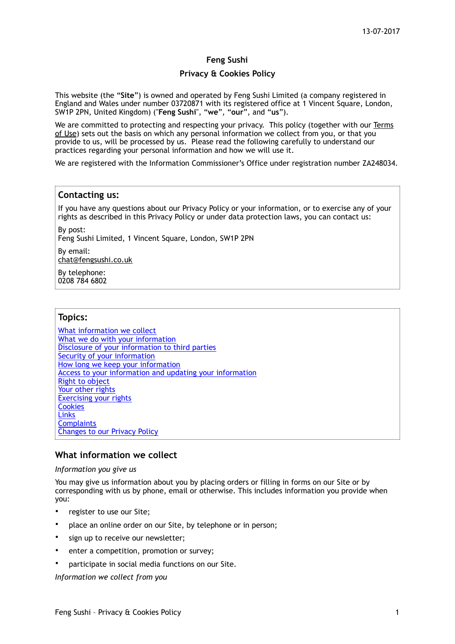## **Feng Sushi**

### **Privacy & Cookies Policy**

This website (the "**Site**") is owned and operated by Feng Sushi Limited (a company registered in England and Wales under number 03720871 with its registered office at 1 Vincent Square, London, SW1P 2PN, United Kingdom) ("**Feng Sushi**", "**we**", "**our**", and "**us**").

We are committed to protecting and respecting your privacy. This policy (together with our Terms of Use) sets out the basis on which any personal information we collect from you, or that you provide to us, will be processed by us. Please read the following carefully to understand our practices regarding your personal information and how we will use it.

We are registered with the Information Commissioner's Office under registration number ZA248034.

### **Contacting us:**

If you have any questions about our Privacy Policy or your information, or to exercise any of your rights as described in this Privacy Policy or under data protection laws, you can contact us:

By post: Feng Sushi Limited, 1 Vincent Square, London, SW1P 2PN

By email: [chat@fengsushi.co.uk](mailto:chat@fengsushi.co.uk)

By telephone: 0208 784 6802

## **Topics:**

What information we collect What we do with your information Disclosure of your information to third parties Security of your information How long we keep your information Access to your information and updating your information Right to object Your other rights Exercising your rights **Cookies Links Complaints** Changes to our Privacy Policy

## **What information we collect**

#### *Information you give us*

You may give us information about you by placing orders or filling in forms on our Site or by corresponding with us by phone, email or otherwise. This includes information you provide when you:

- register to use our Site;
- place an online order on our Site, by telephone or in person;
- sign up to receive our newsletter;
- enter a competition, promotion or survey;
- participate in social media functions on our Site.

*Information we collect from you*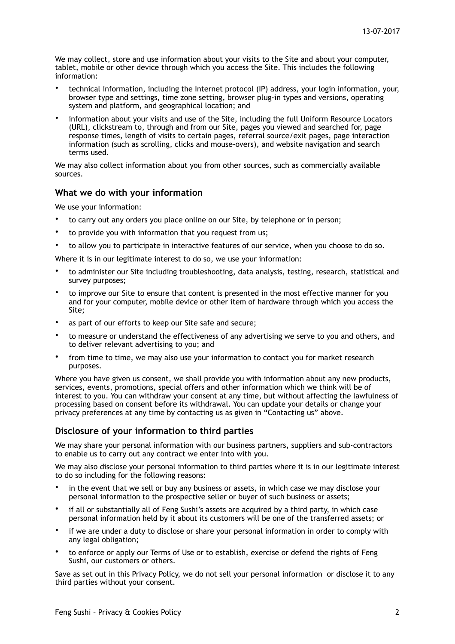We may collect, store and use information about your visits to the Site and about your computer, tablet, mobile or other device through which you access the Site. This includes the following information:

- technical information, including the Internet protocol (IP) address, your login information, your, browser type and settings, time zone setting, browser plug-in types and versions, operating system and platform, and geographical location; and
- information about your visits and use of the Site, including the full Uniform Resource Locators (URL), clickstream to, through and from our Site, pages you viewed and searched for, page response times, length of visits to certain pages, referral source/exit pages, page interaction information (such as scrolling, clicks and mouse-overs), and website navigation and search terms used.

We may also collect information about you from other sources, such as commercially available sources.

### **What we do with your information**

We use your information:

- to carry out any orders you place online on our Site, by telephone or in person;
- to provide you with information that you request from us;
- to allow you to participate in interactive features of our service, when you choose to do so.

Where it is in our legitimate interest to do so, we use your information:

- to administer our Site including troubleshooting, data analysis, testing, research, statistical and survey purposes;
- to improve our Site to ensure that content is presented in the most effective manner for you and for your computer, mobile device or other item of hardware through which you access the Site;
- as part of our efforts to keep our Site safe and secure;
- to measure or understand the effectiveness of any advertising we serve to you and others, and to deliver relevant advertising to you; and
- from time to time, we may also use your information to contact you for market research purposes.

Where you have given us consent, we shall provide you with information about any new products, services, events, promotions, special offers and other information which we think will be of interest to you. You can withdraw your consent at any time, but without affecting the lawfulness of processing based on consent before its withdrawal. You can update your details or change your privacy preferences at any time by contacting us as given in "Contacting us" above.

## **Disclosure of your information to third parties**

We may share your personal information with our business partners, suppliers and sub-contractors to enable us to carry out any contract we enter into with you.

We may also disclose your personal information to third parties where it is in our legitimate interest to do so including for the following reasons:

- in the event that we sell or buy any business or assets, in which case we may disclose your personal information to the prospective seller or buyer of such business or assets;
- if all or substantially all of Feng Sushi's assets are acquired by a third party, in which case personal information held by it about its customers will be one of the transferred assets; or
- if we are under a duty to disclose or share your personal information in order to comply with any legal obligation;
- to enforce or apply our Terms of Use or to establish, exercise or defend the rights of Feng Sushi, our customers or others.

Save as set out in this Privacy Policy, we do not sell your personal information or disclose it to any third parties without your consent.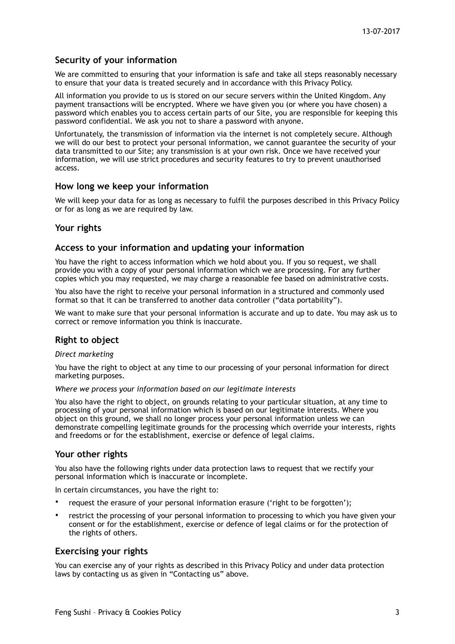# **Security of your information**

We are committed to ensuring that your information is safe and take all steps reasonably necessary to ensure that your data is treated securely and in accordance with this Privacy Policy.

All information you provide to us is stored on our secure servers within the United Kingdom. Any payment transactions will be encrypted. Where we have given you (or where you have chosen) a password which enables you to access certain parts of our Site, you are responsible for keeping this password confidential. We ask you not to share a password with anyone.

Unfortunately, the transmission of information via the internet is not completely secure. Although we will do our best to protect your personal information, we cannot guarantee the security of your data transmitted to our Site; any transmission is at your own risk. Once we have received your information, we will use strict procedures and security features to try to prevent unauthorised access.

### **How long we keep your information**

We will keep your data for as long as necessary to fulfil the purposes described in this Privacy Policy or for as long as we are required by law.

### **Your rights**

### **Access to your information and updating your information**

You have the right to access information which we hold about you. If you so request, we shall provide you with a copy of your personal information which we are processing. For any further copies which you may requested, we may charge a reasonable fee based on administrative costs.

You also have the right to receive your personal information in a structured and commonly used format so that it can be transferred to another data controller ("data portability").

We want to make sure that your personal information is accurate and up to date. You may ask us to correct or remove information you think is inaccurate.

# **Right to object**

*Direct marketing* 

You have the right to object at any time to our processing of your personal information for direct marketing purposes.

*Where we process your information based on our legitimate interests* 

You also have the right to object, on grounds relating to your particular situation, at any time to processing of your personal information which is based on our legitimate interests. Where you object on this ground, we shall no longer process your personal information unless we can demonstrate compelling legitimate grounds for the processing which override your interests, rights and freedoms or for the establishment, exercise or defence of legal claims.

## **Your other rights**

You also have the following rights under data protection laws to request that we rectify your personal information which is inaccurate or incomplete.

In certain circumstances, you have the right to:

- request the erasure of your personal information erasure ('right to be forgotten');
- restrict the processing of your personal information to processing to which you have given your consent or for the establishment, exercise or defence of legal claims or for the protection of the rights of others.

#### **Exercising your rights**

You can exercise any of your rights as described in this Privacy Policy and under data protection laws by contacting us as given in "Contacting us" above.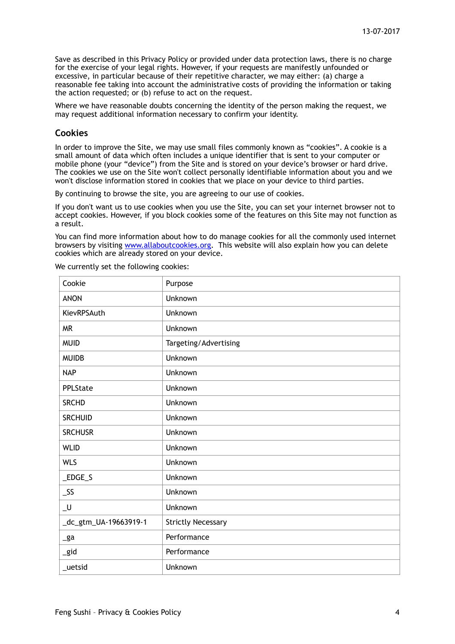Save as described in this Privacy Policy or provided under data protection laws, there is no charge for the exercise of your legal rights. However, if your requests are manifestly unfounded or excessive, in particular because of their repetitive character, we may either: (a) charge a reasonable fee taking into account the administrative costs of providing the information or taking the action requested; or (b) refuse to act on the request.

Where we have reasonable doubts concerning the identity of the person making the request, we may request additional information necessary to confirm your identity.

## **Cookies**

In order to improve the Site, we may use small files commonly known as "cookies". A cookie is a small amount of data which often includes a unique identifier that is sent to your computer or mobile phone (your "device") from the Site and is stored on your device's browser or hard drive. The cookies we use on the Site won't collect personally identifiable information about you and we won't disclose information stored in cookies that we place on your device to third parties.

By continuing to browse the site, you are agreeing to our use of cookies.

If you don't want us to use cookies when you use the Site, you can set your internet browser not to accept cookies. However, if you block cookies some of the features on this Site may not function as a result.

You can find more information about how to do manage cookies for all the commonly used internet browsers by visiting [www.allaboutcookies.org.](http://www.allaboutcookies.org) This website will also explain how you can delete cookies which are already stored on your device.

We currently set the following cookies:

| Cookie                | Purpose                   |
|-----------------------|---------------------------|
| <b>ANON</b>           | Unknown                   |
| KievRPSAuth           | Unknown                   |
| <b>MR</b>             | Unknown                   |
| <b>MUID</b>           | Targeting/Advertising     |
| <b>MUIDB</b>          | Unknown                   |
| <b>NAP</b>            | Unknown                   |
| PPLState              | Unknown                   |
| <b>SRCHD</b>          | Unknown                   |
| <b>SRCHUID</b>        | Unknown                   |
| <b>SRCHUSR</b>        | Unknown                   |
| <b>WLID</b>           | Unknown                   |
| <b>WLS</b>            | Unknown                   |
| $\_EDGE\_S$           | Unknown                   |
| $\_SS$                | Unknown                   |
| $\_$                  | Unknown                   |
| _dc_gtm_UA-19663919-1 | <b>Strictly Necessary</b> |
| $\mathsf{g}$ a        | Performance               |
| _gid                  | Performance               |
| _uetsid               | Unknown                   |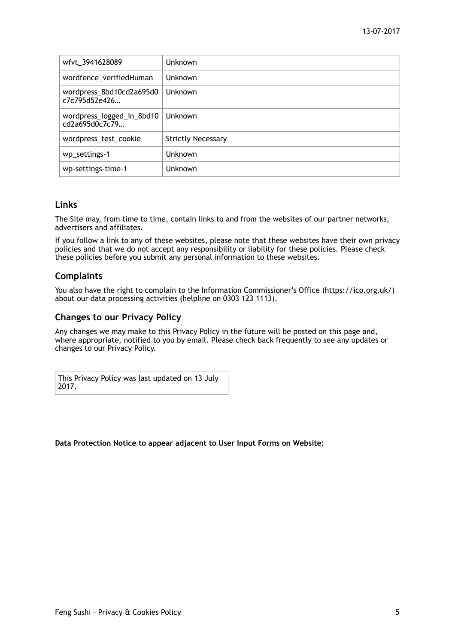| wfvt_3941628089                             | Unknown                   |
|---------------------------------------------|---------------------------|
| wordfence_verifiedHuman                     | Unknown                   |
| wordpress_8bd10cd2a695d0<br>c7c795d52e426   | Unknown                   |
| wordpress_logged_in_8bd10<br>cd2a695d0c7c79 | Unknown                   |
| wordpress_test_cookie                       | <b>Strictly Necessary</b> |
| wp_settings-1                               | Unknown                   |
| wp-settings-time-1                          | Unknown                   |

## **Links**

The Site may, from time to time, contain links to and from the websites of our partner networks, advertisers and affiliates.

If you follow a link to any of these websites, please note that these websites have their own privacy policies and that we do not accept any responsibility or liability for these policies. Please check these policies before you submit any personal information to these websites.

# **Complaints**

You also have the right to complain to the Information Commissioner's Office ([https://ico.org.uk/\)](https://ico.org.uk/) about our data processing activities (helpline on 0303 123 1113).

# **Changes to our Privacy Policy**

Any changes we may make to this Privacy Policy in the future will be posted on this page and, where appropriate, notified to you by email. Please check back frequently to see any updates or changes to our Privacy Policy.

This Privacy Policy was last updated on 13 July 2017.

#### **Data Protection Notice to appear adjacent to User Input Forms on Website:**